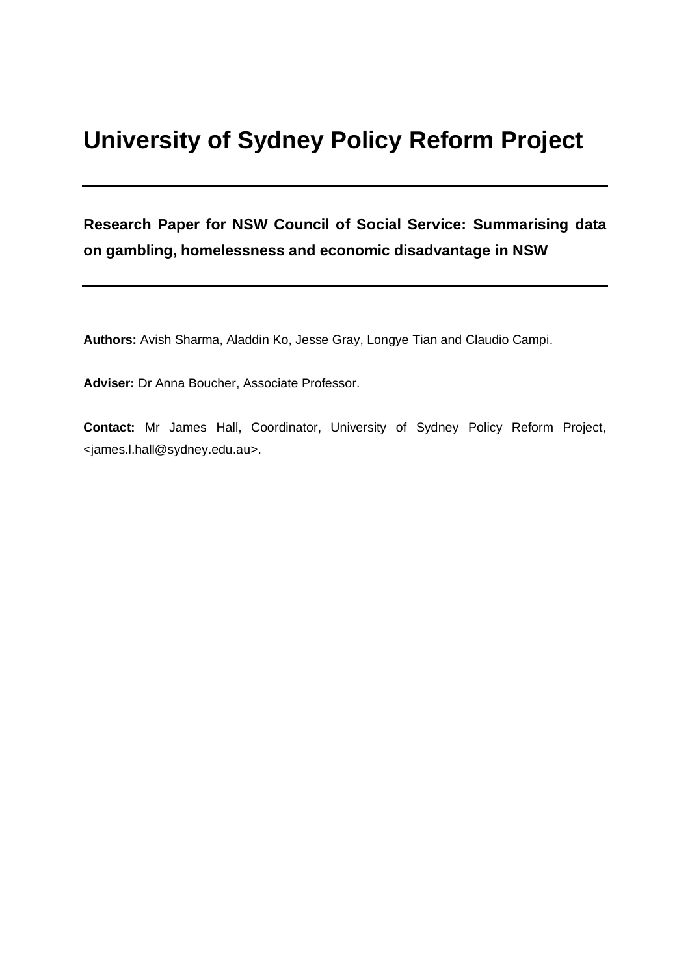# **University of Sydney Policy Reform Project**

**Research Paper for NSW Council of Social Service: Summarising data on gambling, homelessness and economic disadvantage in NSW**

**Authors:** Avish Sharma, Aladdin Ko, Jesse Gray, Longye Tian and Claudio Campi.

**Adviser:** Dr Anna Boucher, Associate Professor.

**Contact:** Mr James Hall, Coordinator, University of Sydney Policy Reform Project, <james.l.hall@sydney.edu.au>.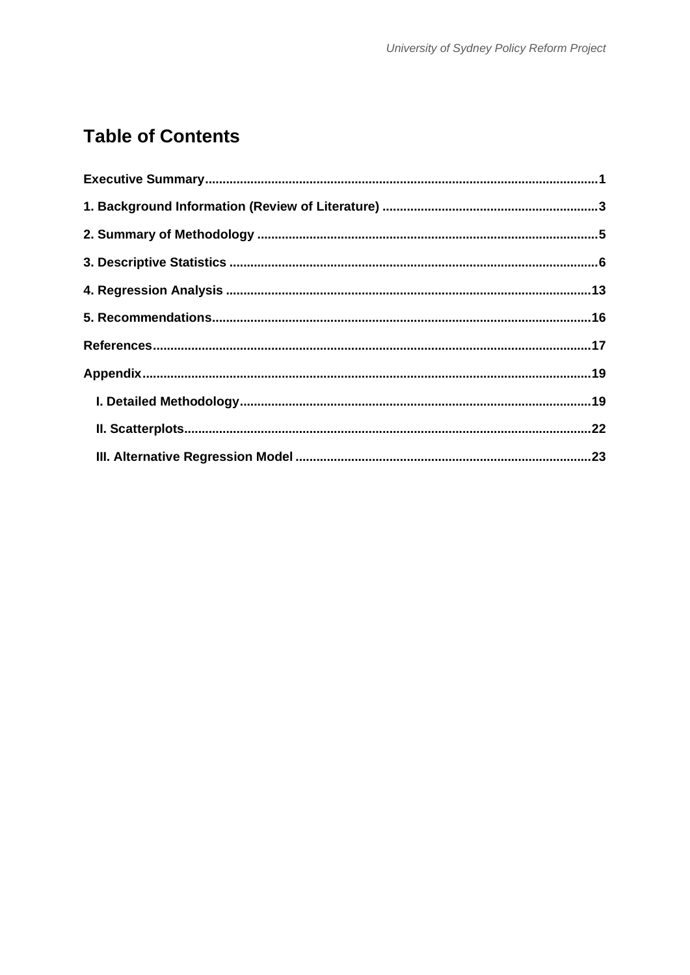# **Table of Contents**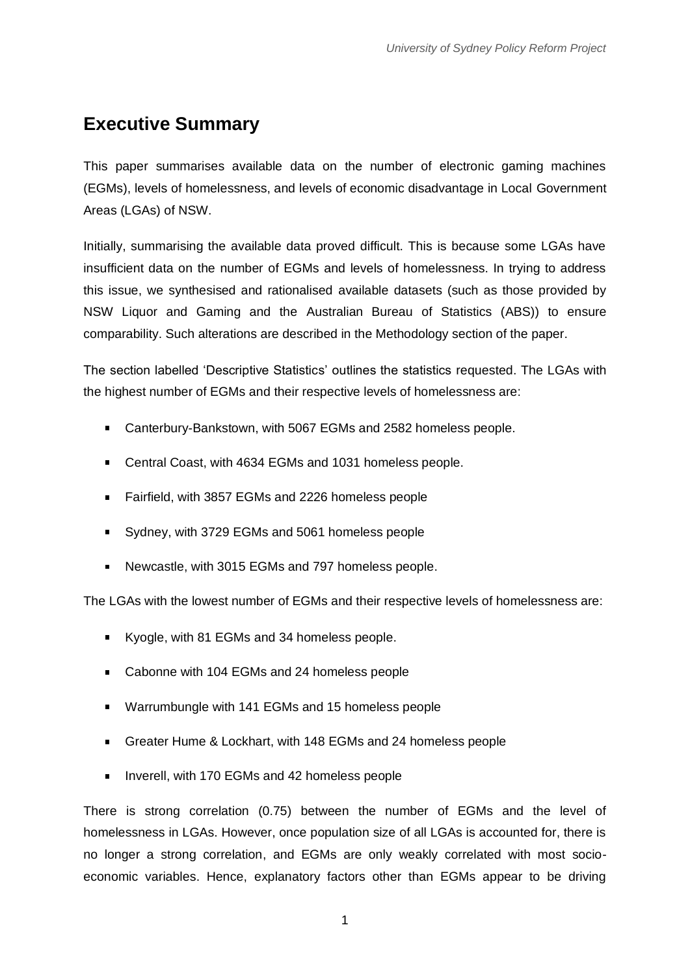# <span id="page-2-0"></span>**Executive Summary**

This paper summarises available data on the number of electronic gaming machines (EGMs), levels of homelessness, and levels of economic disadvantage in Local Government Areas (LGAs) of NSW.

Initially, summarising the available data proved difficult. This is because some LGAs have insufficient data on the number of EGMs and levels of homelessness. In trying to address this issue, we synthesised and rationalised available datasets (such as those provided by NSW Liquor and Gaming and the Australian Bureau of Statistics (ABS)) to ensure comparability. Such alterations are described in the Methodology section of the paper.

The section labelled 'Descriptive Statistics' outlines the statistics requested. The LGAs with the highest number of EGMs and their respective levels of homelessness are:

- Canterbury-Bankstown, with 5067 EGMs and 2582 homeless people.
- Central Coast, with 4634 EGMs and 1031 homeless people.
- $\mathbf{r}$ Fairfield, with 3857 EGMs and 2226 homeless people
- Sydney, with 3729 EGMs and 5061 homeless people
- $\mathbf{r}$ Newcastle, with 3015 EGMs and 797 homeless people.

The LGAs with the lowest number of EGMs and their respective levels of homelessness are:

- Kyogle, with 81 EGMs and 34 homeless people.
- Cabonne with 104 EGMs and 24 homeless people
- **Warrumbungle with 141 EGMs and 15 homeless people**
- Greater Hume & Lockhart, with 148 EGMs and 24 homeless people
- Inverell, with 170 EGMs and 42 homeless people  $\blacksquare$

There is strong correlation (0.75) between the number of EGMs and the level of homelessness in LGAs. However, once population size of all LGAs is accounted for, there is no longer a strong correlation, and EGMs are only weakly correlated with most socioeconomic variables. Hence, explanatory factors other than EGMs appear to be driving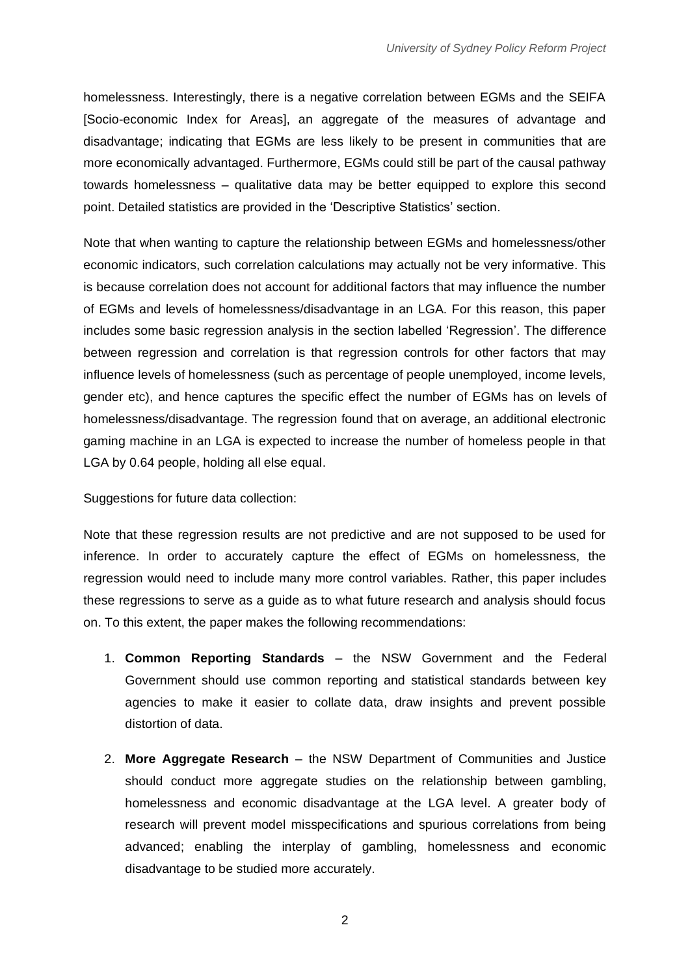homelessness. Interestingly, there is a negative correlation between EGMs and the SEIFA [Socio-economic Index for Areas], an aggregate of the measures of advantage and disadvantage; indicating that EGMs are less likely to be present in communities that are more economically advantaged. Furthermore, EGMs could still be part of the causal pathway towards homelessness – qualitative data may be better equipped to explore this second point. Detailed statistics are provided in the 'Descriptive Statistics' section.

Note that when wanting to capture the relationship between EGMs and homelessness/other economic indicators, such correlation calculations may actually not be very informative. This is because correlation does not account for additional factors that may influence the number of EGMs and levels of homelessness/disadvantage in an LGA. For this reason, this paper includes some basic regression analysis in the section labelled 'Regression'. The difference between regression and correlation is that regression controls for other factors that may influence levels of homelessness (such as percentage of people unemployed, income levels, gender etc), and hence captures the specific effect the number of EGMs has on levels of homelessness/disadvantage. The regression found that on average, an additional electronic gaming machine in an LGA is expected to increase the number of homeless people in that LGA by 0.64 people, holding all else equal.

Suggestions for future data collection:

Note that these regression results are not predictive and are not supposed to be used for inference. In order to accurately capture the effect of EGMs on homelessness, the regression would need to include many more control variables. Rather, this paper includes these regressions to serve as a guide as to what future research and analysis should focus on. To this extent, the paper makes the following recommendations:

- 1. **Common Reporting Standards** the NSW Government and the Federal Government should use common reporting and statistical standards between key agencies to make it easier to collate data, draw insights and prevent possible distortion of data.
- 2. **More Aggregate Research** the NSW Department of Communities and Justice should conduct more aggregate studies on the relationship between gambling, homelessness and economic disadvantage at the LGA level. A greater body of research will prevent model misspecifications and spurious correlations from being advanced; enabling the interplay of gambling, homelessness and economic disadvantage to be studied more accurately.

 $\mathfrak{D}$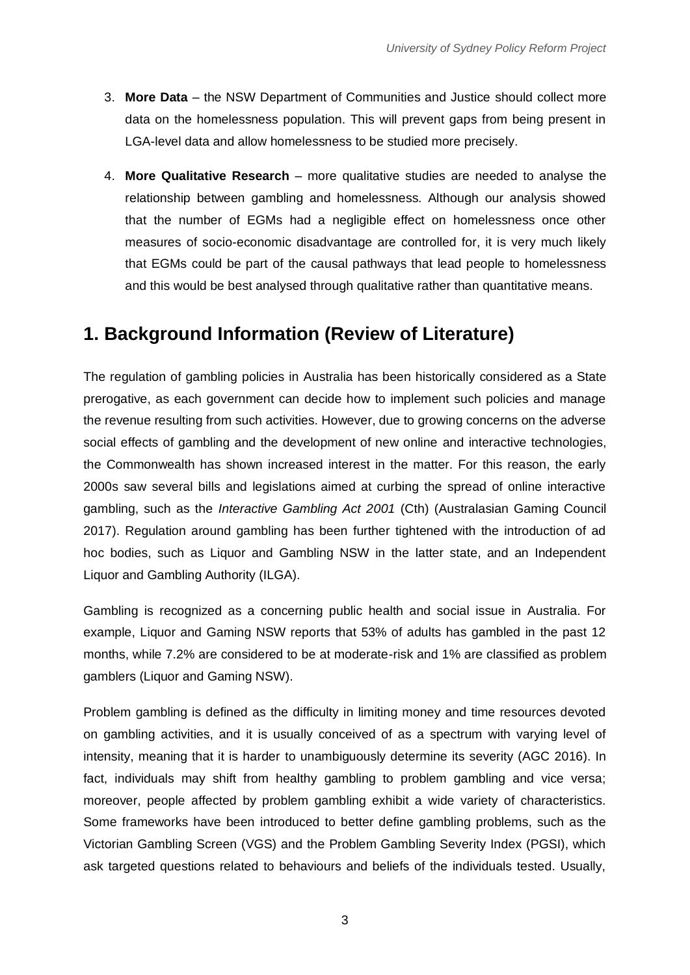- 3. **More Data** the NSW Department of Communities and Justice should collect more data on the homelessness population. This will prevent gaps from being present in LGA-level data and allow homelessness to be studied more precisely.
- 4. **More Qualitative Research** more qualitative studies are needed to analyse the relationship between gambling and homelessness. Although our analysis showed that the number of EGMs had a negligible effect on homelessness once other measures of socio-economic disadvantage are controlled for, it is very much likely that EGMs could be part of the causal pathways that lead people to homelessness and this would be best analysed through qualitative rather than quantitative means.

## <span id="page-4-0"></span>**1. Background Information (Review of Literature)**

The regulation of gambling policies in Australia has been historically considered as a State prerogative, as each government can decide how to implement such policies and manage the revenue resulting from such activities. However, due to growing concerns on the adverse social effects of gambling and the development of new online and interactive technologies, the Commonwealth has shown increased interest in the matter. For this reason, the early 2000s saw several bills and legislations aimed at curbing the spread of online interactive gambling, such as the *Interactive Gambling Act 2001* (Cth) (Australasian Gaming Council 2017). Regulation around gambling has been further tightened with the introduction of ad hoc bodies, such as Liquor and Gambling NSW in the latter state, and an Independent Liquor and Gambling Authority (ILGA).

Gambling is recognized as a concerning public health and social issue in Australia. For example, Liquor and Gaming NSW reports that 53% of adults has gambled in the past 12 months, while 7.2% are considered to be at moderate-risk and 1% are classified as problem gamblers (Liquor and Gaming NSW).

Problem gambling is defined as the difficulty in limiting money and time resources devoted on gambling activities, and it is usually conceived of as a spectrum with varying level of intensity, meaning that it is harder to unambiguously determine its severity (AGC 2016). In fact, individuals may shift from healthy gambling to problem gambling and vice versa; moreover, people affected by problem gambling exhibit a wide variety of characteristics. Some frameworks have been introduced to better define gambling problems, such as the Victorian Gambling Screen (VGS) and the Problem Gambling Severity Index (PGSI), which ask targeted questions related to behaviours and beliefs of the individuals tested. Usually,

3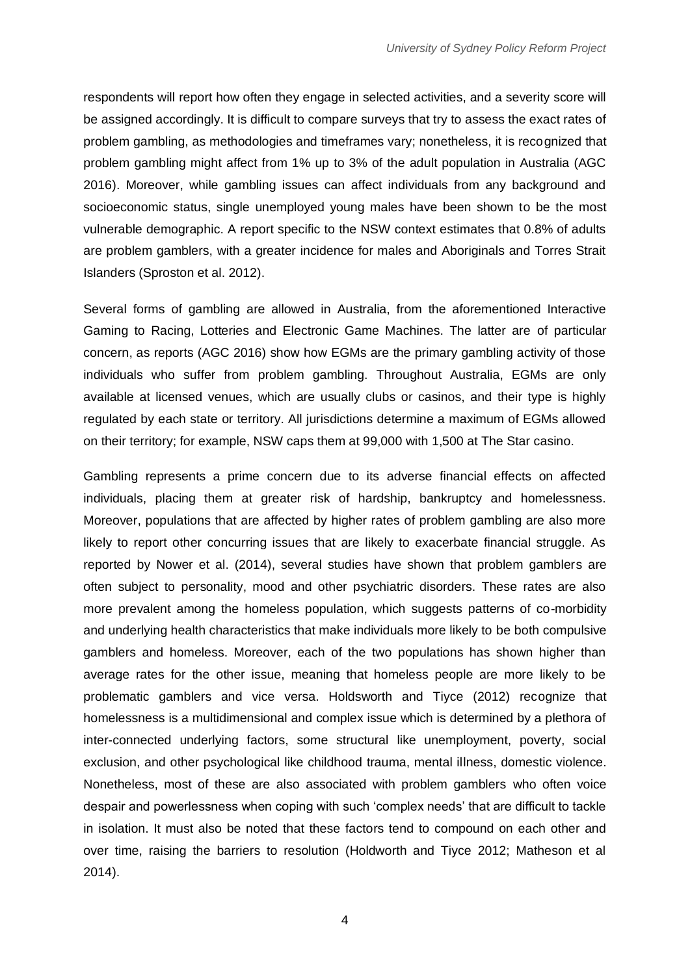respondents will report how often they engage in selected activities, and a severity score will be assigned accordingly. It is difficult to compare surveys that try to assess the exact rates of problem gambling, as methodologies and timeframes vary; nonetheless, it is recognized that problem gambling might affect from 1% up to 3% of the adult population in Australia (AGC 2016). Moreover, while gambling issues can affect individuals from any background and socioeconomic status, single unemployed young males have been shown to be the most vulnerable demographic. A report specific to the NSW context estimates that 0.8% of adults are problem gamblers, with a greater incidence for males and Aboriginals and Torres Strait Islanders (Sproston et al. 2012).

Several forms of gambling are allowed in Australia, from the aforementioned Interactive Gaming to Racing, Lotteries and Electronic Game Machines. The latter are of particular concern, as reports (AGC 2016) show how EGMs are the primary gambling activity of those individuals who suffer from problem gambling. Throughout Australia, EGMs are only available at licensed venues, which are usually clubs or casinos, and their type is highly regulated by each state or territory. All jurisdictions determine a maximum of EGMs allowed on their territory; for example, NSW caps them at 99,000 with 1,500 at The Star casino.

Gambling represents a prime concern due to its adverse financial effects on affected individuals, placing them at greater risk of hardship, bankruptcy and homelessness. Moreover, populations that are affected by higher rates of problem gambling are also more likely to report other concurring issues that are likely to exacerbate financial struggle. As reported by Nower et al. (2014), several studies have shown that problem gamblers are often subject to personality, mood and other psychiatric disorders. These rates are also more prevalent among the homeless population, which suggests patterns of co-morbidity and underlying health characteristics that make individuals more likely to be both compulsive gamblers and homeless. Moreover, each of the two populations has shown higher than average rates for the other issue, meaning that homeless people are more likely to be problematic gamblers and vice versa. Holdsworth and Tiyce (2012) recognize that homelessness is a multidimensional and complex issue which is determined by a plethora of inter-connected underlying factors, some structural like unemployment, poverty, social exclusion, and other psychological like childhood trauma, mental illness, domestic violence. Nonetheless, most of these are also associated with problem gamblers who often voice despair and powerlessness when coping with such 'complex needs' that are difficult to tackle in isolation. It must also be noted that these factors tend to compound on each other and over time, raising the barriers to resolution (Holdworth and Tiyce 2012; Matheson et al 2014).

4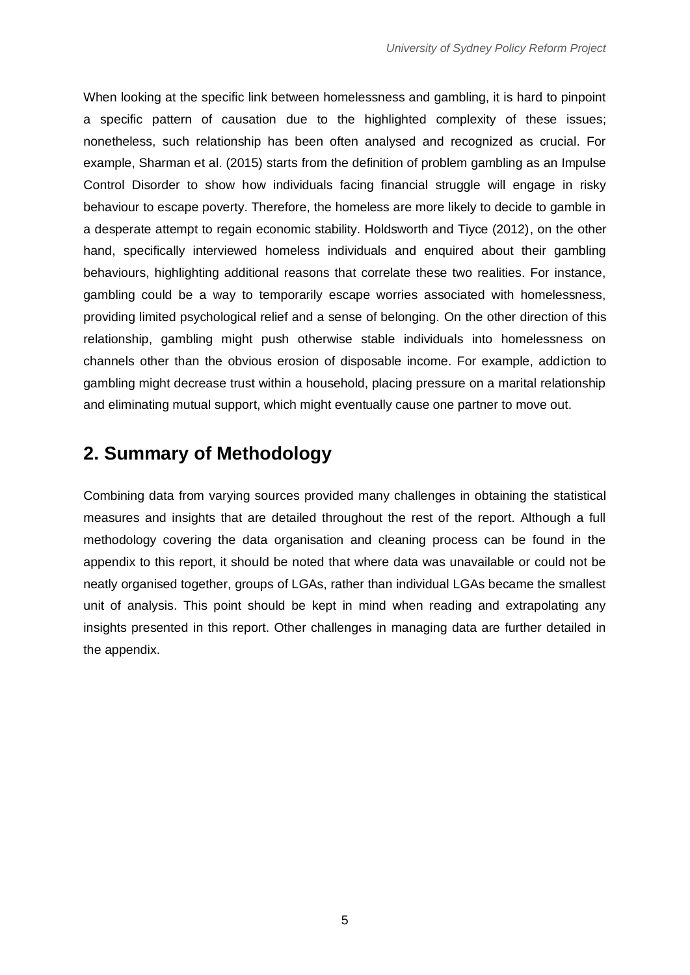When looking at the specific link between homelessness and gambling, it is hard to pinpoint a specific pattern of causation due to the highlighted complexity of these issues; nonetheless, such relationship has been often analysed and recognized as crucial. For example, Sharman et al. (2015) starts from the definition of problem gambling as an Impulse Control Disorder to show how individuals facing financial struggle will engage in risky behaviour to escape poverty. Therefore, the homeless are more likely to decide to gamble in a desperate attempt to regain economic stability. Holdsworth and Tiyce (2012), on the other hand, specifically interviewed homeless individuals and enquired about their gambling behaviours, highlighting additional reasons that correlate these two realities. For instance, gambling could be a way to temporarily escape worries associated with homelessness, providing limited psychological relief and a sense of belonging. On the other direction of this relationship, gambling might push otherwise stable individuals into homelessness on channels other than the obvious erosion of disposable income. For example, addiction to gambling might decrease trust within a household, placing pressure on a marital relationship and eliminating mutual support, which might eventually cause one partner to move out.

## <span id="page-6-0"></span>**2. Summary of Methodology**

Combining data from varying sources provided many challenges in obtaining the statistical measures and insights that are detailed throughout the rest of the report. Although a full methodology covering the data organisation and cleaning process can be found in the appendix to this report, it should be noted that where data was unavailable or could not be neatly organised together, groups of LGAs, rather than individual LGAs became the smallest unit of analysis. This point should be kept in mind when reading and extrapolating any insights presented in this report. Other challenges in managing data are further detailed in the appendix.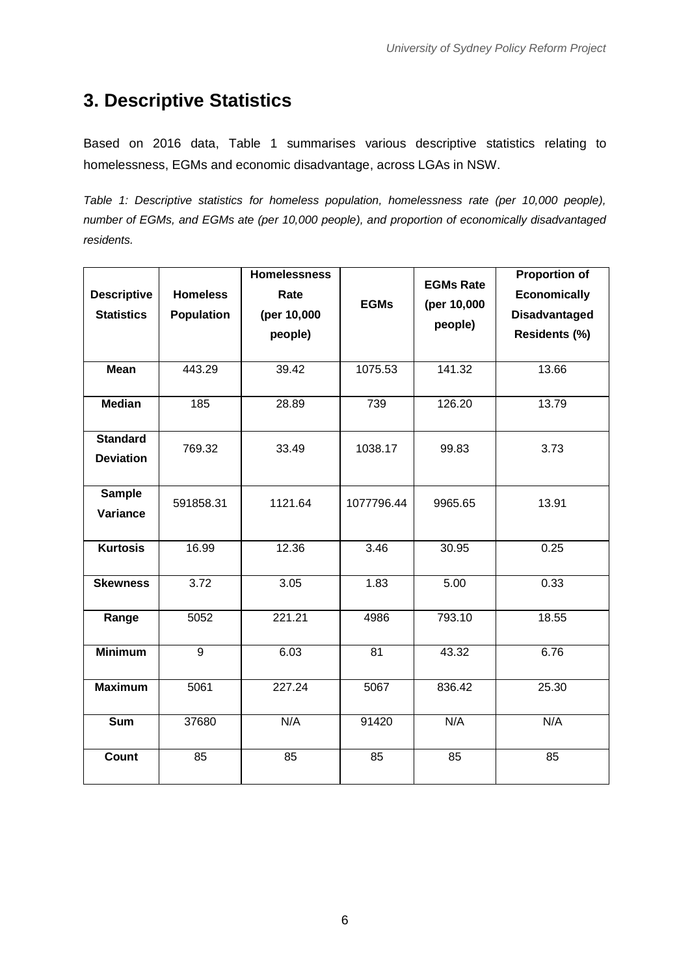# <span id="page-7-0"></span>**3. Descriptive Statistics**

Based on 2016 data, Table 1 summarises various descriptive statistics relating to homelessness, EGMs and economic disadvantage, across LGAs in NSW.

*Table 1: Descriptive statistics for homeless population, homelessness rate (per 10,000 people), number of EGMs, and EGMs ate (per 10,000 people), and proportion of economically disadvantaged residents.*

| <b>Descriptive</b><br><b>Statistics</b> | <b>Homeless</b><br><b>Population</b> | <b>Homelessness</b><br>Rate<br>(per 10,000<br>people) | <b>EGMs</b> | <b>EGMs Rate</b><br>(per 10,000<br>people) | <b>Proportion of</b><br><b>Economically</b><br><b>Disadvantaged</b><br>Residents (%) |
|-----------------------------------------|--------------------------------------|-------------------------------------------------------|-------------|--------------------------------------------|--------------------------------------------------------------------------------------|
| <b>Mean</b>                             | 443.29                               | 39.42                                                 | 1075.53     | 141.32                                     | 13.66                                                                                |
| <b>Median</b>                           | 185                                  | 28.89                                                 | 739         | 126.20                                     | 13.79                                                                                |
| <b>Standard</b><br><b>Deviation</b>     | 769.32                               | 33.49                                                 | 1038.17     | 99.83                                      | 3.73                                                                                 |
| <b>Sample</b><br>Variance               | 591858.31                            | 1121.64                                               | 1077796.44  | 9965.65                                    | 13.91                                                                                |
| <b>Kurtosis</b>                         | 16.99                                | 12.36                                                 | 3.46        | 30.95                                      | 0.25                                                                                 |
| <b>Skewness</b>                         | 3.72                                 | 3.05                                                  | 1.83        | 5.00                                       | 0.33                                                                                 |
| Range                                   | 5052                                 | 221.21                                                | 4986        | 793.10                                     | 18.55                                                                                |
| <b>Minimum</b>                          | $\overline{9}$                       | 6.03                                                  | 81          | 43.32                                      | 6.76                                                                                 |
| <b>Maximum</b>                          | 5061                                 | 227.24                                                | 5067        | 836.42                                     | 25.30                                                                                |
| <b>Sum</b>                              | 37680                                | N/A                                                   | 91420       | N/A                                        | N/A                                                                                  |
| <b>Count</b>                            | 85                                   | 85                                                    | 85          | 85                                         | 85                                                                                   |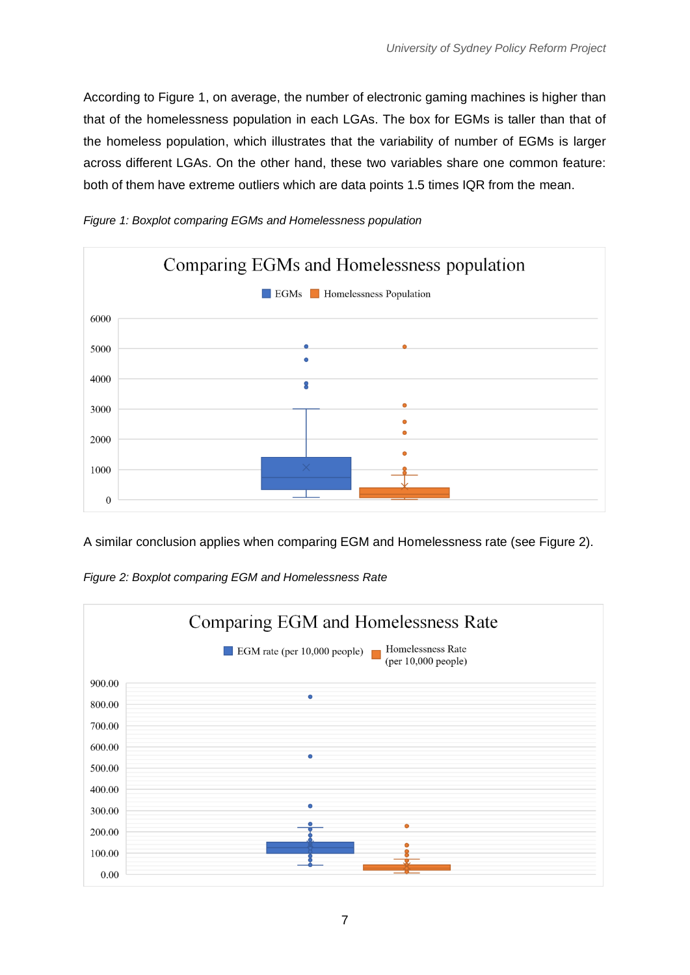According to Figure 1, on average, the number of electronic gaming machines is higher than that of the homelessness population in each LGAs. The box for EGMs is taller than that of the homeless population, which illustrates that the variability of number of EGMs is larger across different LGAs. On the other hand, these two variables share one common feature: both of them have extreme outliers which are data points 1.5 times IQR from the mean.



*Figure 1: Boxplot comparing EGMs and Homelessness population*

A similar conclusion applies when comparing EGM and Homelessness rate (see Figure 2).

*Figure 2: Boxplot comparing EGM and Homelessness Rate*

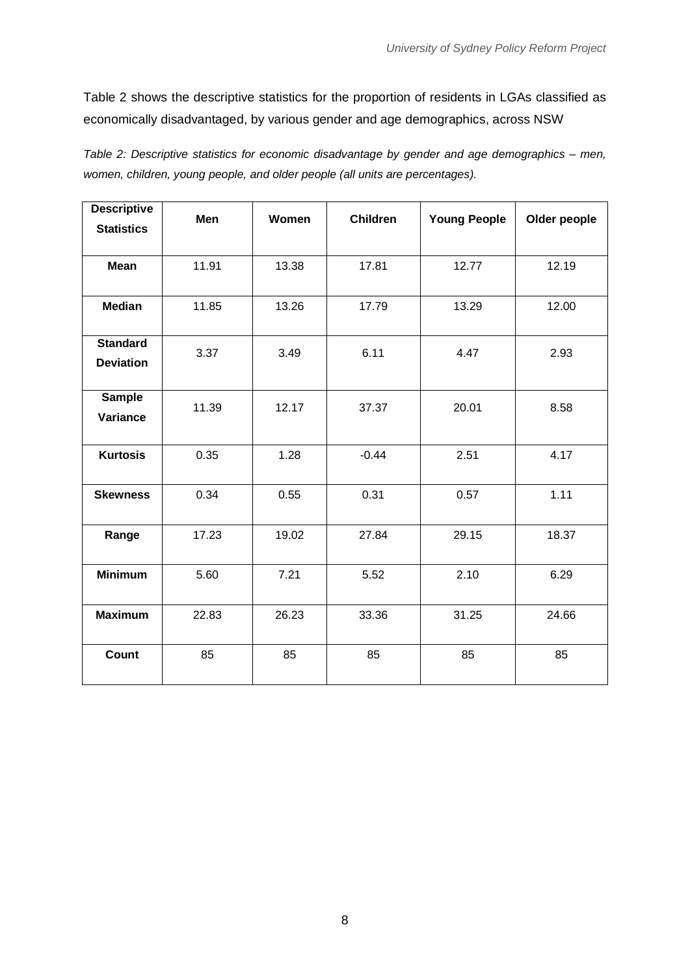Table 2 shows the descriptive statistics for the proportion of residents in LGAs classified as economically disadvantaged, by various gender and age demographics, across NSW

| Table 2: Descriptive statistics for economic disadvantage by gender and age demographics – men, |  |
|-------------------------------------------------------------------------------------------------|--|
| women, children, young people, and older people (all units are percentages).                    |  |

| <b>Descriptive</b> |       |       |                 |                     |              |
|--------------------|-------|-------|-----------------|---------------------|--------------|
| <b>Statistics</b>  | Men   | Women | <b>Children</b> | <b>Young People</b> | Older people |
|                    |       |       |                 |                     |              |
| <b>Mean</b>        | 11.91 | 13.38 | 17.81           | 12.77               | 12.19        |
|                    |       |       |                 |                     |              |
| <b>Median</b>      | 11.85 | 13.26 | 17.79           | 13.29               | 12.00        |
| <b>Standard</b>    |       |       |                 |                     |              |
|                    | 3.37  | 3.49  | 6.11            | 4.47                | 2.93         |
| <b>Deviation</b>   |       |       |                 |                     |              |
| <b>Sample</b>      | 11.39 | 12.17 | 37.37           | 20.01               | 8.58         |
| Variance           |       |       |                 |                     |              |
|                    |       |       |                 |                     |              |
| <b>Kurtosis</b>    | 0.35  | 1.28  | $-0.44$         | 2.51                | 4.17         |
| <b>Skewness</b>    | 0.34  | 0.55  | 0.31            | 0.57                | 1.11         |
|                    |       |       |                 |                     |              |
| Range              | 17.23 | 19.02 | 27.84           | 29.15               | 18.37        |
|                    |       |       |                 |                     |              |
| <b>Minimum</b>     | 5.60  | 7.21  | 5.52            | 2.10                | 6.29         |
|                    |       |       |                 |                     |              |
| <b>Maximum</b>     | 22.83 | 26.23 | 33.36           | 31.25               | 24.66        |
|                    |       |       |                 |                     |              |
| Count              | 85    | 85    | 85              | 85                  | 85           |
|                    |       |       |                 |                     |              |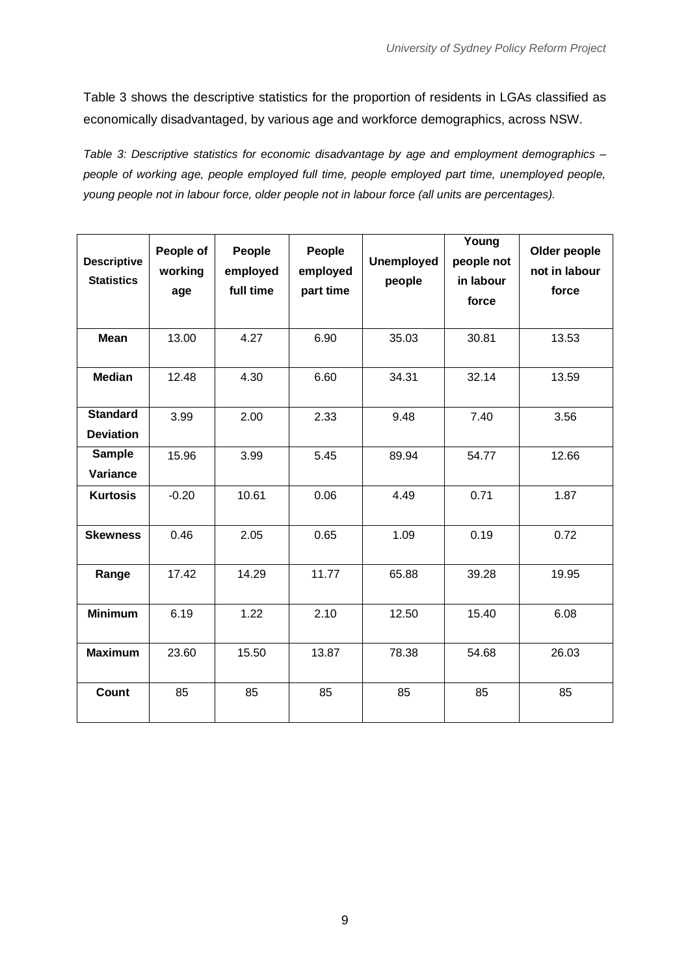Table 3 shows the descriptive statistics for the proportion of residents in LGAs classified as economically disadvantaged, by various age and workforce demographics, across NSW.

*Table 3: Descriptive statistics for economic disadvantage by age and employment demographics – people of working age, people employed full time, people employed part time, unemployed people, young people not in labour force, older people not in labour force (all units are percentages).* 

| <b>Descriptive</b><br><b>Statistics</b> | People of<br>working<br>age | People<br>employed<br>full time | People<br>employed<br>part time | <b>Unemployed</b><br>people | Young<br>people not<br>in labour<br>force | Older people<br>not in labour<br>force |
|-----------------------------------------|-----------------------------|---------------------------------|---------------------------------|-----------------------------|-------------------------------------------|----------------------------------------|
| <b>Mean</b>                             | 13.00                       | 4.27                            | 6.90                            | 35.03                       | 30.81                                     | 13.53                                  |
| <b>Median</b>                           | 12.48                       | 4.30                            | 6.60                            | 34.31                       | 32.14                                     | 13.59                                  |
| <b>Standard</b><br><b>Deviation</b>     | 3.99                        | 2.00                            | 2.33                            | 9.48                        | 7.40                                      | 3.56                                   |
| <b>Sample</b><br>Variance               | 15.96                       | 3.99                            | 5.45                            | 89.94                       | 54.77                                     | 12.66                                  |
| <b>Kurtosis</b>                         | $-0.20$                     | 10.61                           | 0.06                            | 4.49                        | 0.71                                      | 1.87                                   |
| <b>Skewness</b>                         | 0.46                        | 2.05                            | 0.65                            | 1.09                        | 0.19                                      | 0.72                                   |
| Range                                   | 17.42                       | 14.29                           | 11.77                           | 65.88                       | 39.28                                     | 19.95                                  |
| <b>Minimum</b>                          | 6.19                        | 1.22                            | 2.10                            | 12.50                       | 15.40                                     | 6.08                                   |
| <b>Maximum</b>                          | 23.60                       | 15.50                           | 13.87                           | 78.38                       | 54.68                                     | 26.03                                  |
| <b>Count</b>                            | 85                          | 85                              | 85                              | 85                          | 85                                        | 85                                     |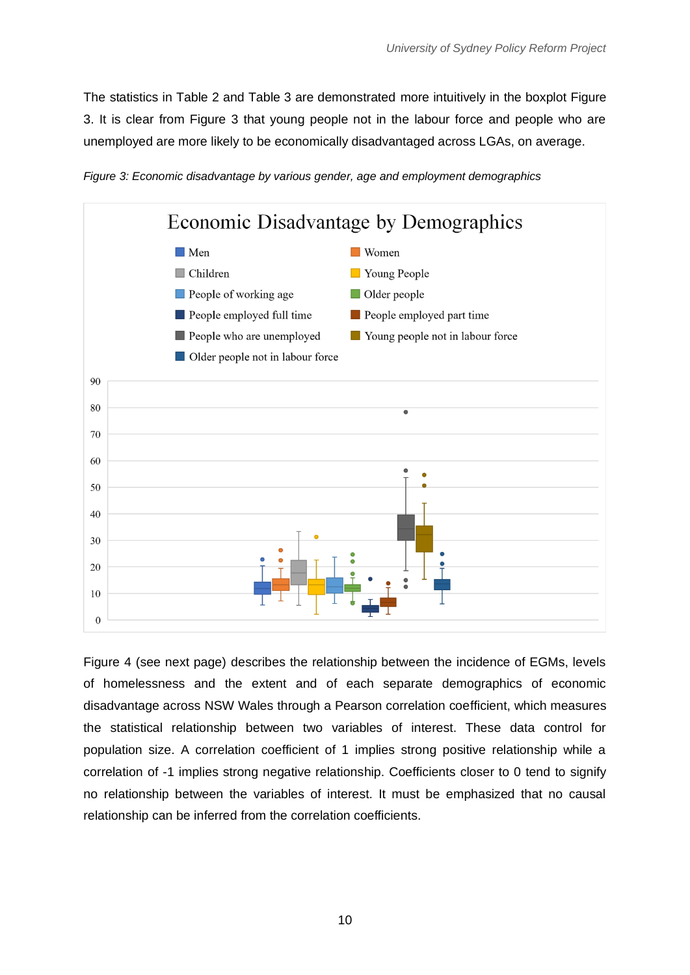The statistics in Table 2 and Table 3 are demonstrated more intuitively in the boxplot Figure 3. It is clear from Figure 3 that young people not in the labour force and people who are unemployed are more likely to be economically disadvantaged across LGAs, on average.





Figure 4 (see next page) describes the relationship between the incidence of EGMs, levels of homelessness and the extent and of each separate demographics of economic disadvantage across NSW Wales through a Pearson correlation coefficient, which measures the statistical relationship between two variables of interest. These data control for population size. A correlation coefficient of 1 implies strong positive relationship while a correlation of -1 implies strong negative relationship. Coefficients closer to 0 tend to signify no relationship between the variables of interest. It must be emphasized that no causal relationship can be inferred from the correlation coefficients.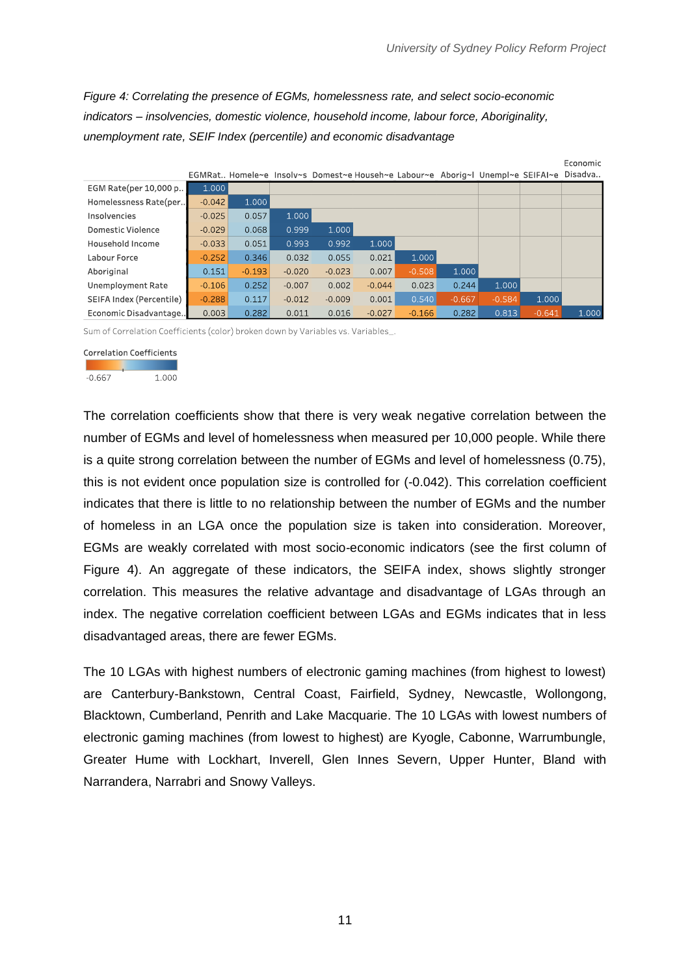Economic

*Figure 4: Correlating the presence of EGMs, homelessness rate, and select socio-economic indicators – insolvencies, domestic violence, household income, labour force, Aboriginality, unemployment rate, SEIF Index (percentile) and economic disadvantage*

|                          |          |          |          |          |          |          |          | EGMRat. Homele~e Insolv~s Domest~e Househ~e Labour~e Aborig~l Unempl~e SEIFAI~e Disadva |          |       |
|--------------------------|----------|----------|----------|----------|----------|----------|----------|-----------------------------------------------------------------------------------------|----------|-------|
| EGM Rate(per 10,000 p    | 1.000    |          |          |          |          |          |          |                                                                                         |          |       |
| Homelessness Rate(per    | $-0.042$ | 1.000    |          |          |          |          |          |                                                                                         |          |       |
| Insolvencies             | $-0.025$ | 0.057    | 1.000    |          |          |          |          |                                                                                         |          |       |
| Domestic Violence        | $-0.029$ | 0.068    | 0.999    | 1.000    |          |          |          |                                                                                         |          |       |
| Household Income         | $-0.033$ | 0.051    | 0.993    | 0.992    | 1.000    |          |          |                                                                                         |          |       |
| Labour Force             | $-0.252$ | 0.346    | 0.032    | 0.055    | 0.021    | 1.000    |          |                                                                                         |          |       |
| Aboriginal               | 0.151    | $-0.193$ | $-0.020$ | $-0.023$ | 0.007    | $-0.508$ | 1.000    |                                                                                         |          |       |
| Unemployment Rate        | $-0.106$ | 0.252    | $-0.007$ | 0.002    | $-0.044$ | 0.023    | 0.244    | 1.000                                                                                   |          |       |
| SEIFA Index (Percentile) | $-0.288$ | 0.117    | $-0.012$ | $-0.009$ | 0.001    | 0.540    | $-0.667$ | $-0.584$                                                                                | 1.000    |       |
| Economic Disadvantage    | 0.003    | 0.282    | 0.011    | 0.016    | $-0.027$ | $-0.166$ | 0.282    | 0.813                                                                                   | $-0.641$ | 1.000 |

Sum of Correlation Coefficients (color) broken down by Variables vs. Variables\_.

| <b>Correlation Coefficients</b> |       |  |  |  |
|---------------------------------|-------|--|--|--|
|                                 |       |  |  |  |
| $-0.667$                        | 1 NNN |  |  |  |

The correlation coefficients show that there is very weak negative correlation between the number of EGMs and level of homelessness when measured per 10,000 people. While there is a quite strong correlation between the number of EGMs and level of homelessness (0.75), this is not evident once population size is controlled for (-0.042). This correlation coefficient indicates that there is little to no relationship between the number of EGMs and the number of homeless in an LGA once the population size is taken into consideration. Moreover, EGMs are weakly correlated with most socio-economic indicators (see the first column of Figure 4). An aggregate of these indicators, the SEIFA index, shows slightly stronger correlation. This measures the relative advantage and disadvantage of LGAs through an index. The negative correlation coefficient between LGAs and EGMs indicates that in less disadvantaged areas, there are fewer EGMs.

The 10 LGAs with highest numbers of electronic gaming machines (from highest to lowest) are Canterbury-Bankstown, Central Coast, Fairfield, Sydney, Newcastle, Wollongong, Blacktown, Cumberland, Penrith and Lake Macquarie. The 10 LGAs with lowest numbers of electronic gaming machines (from lowest to highest) are Kyogle, Cabonne, Warrumbungle, Greater Hume with Lockhart, Inverell, Glen Innes Severn, Upper Hunter, Bland with Narrandera, Narrabri and Snowy Valleys.

11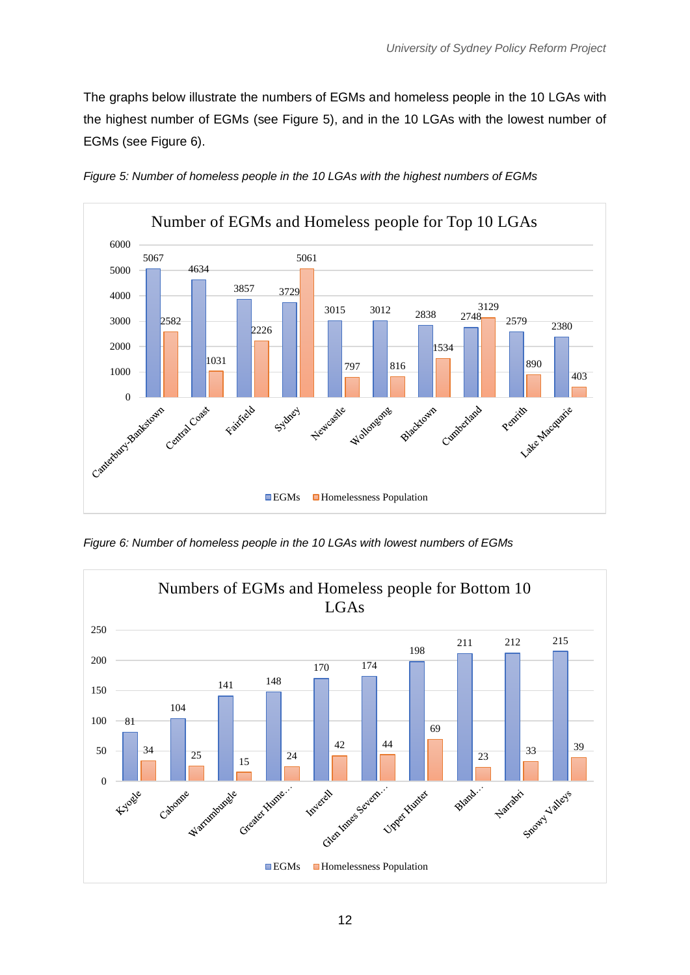The graphs below illustrate the numbers of EGMs and homeless people in the 10 LGAs with the highest number of EGMs (see Figure 5), and in the 10 LGAs with the lowest number of EGMs (see Figure 6).



*Figure 5: Number of homeless people in the 10 LGAs with the highest numbers of EGMs*

*Figure 6: Number of homeless people in the 10 LGAs with lowest numbers of EGMs*

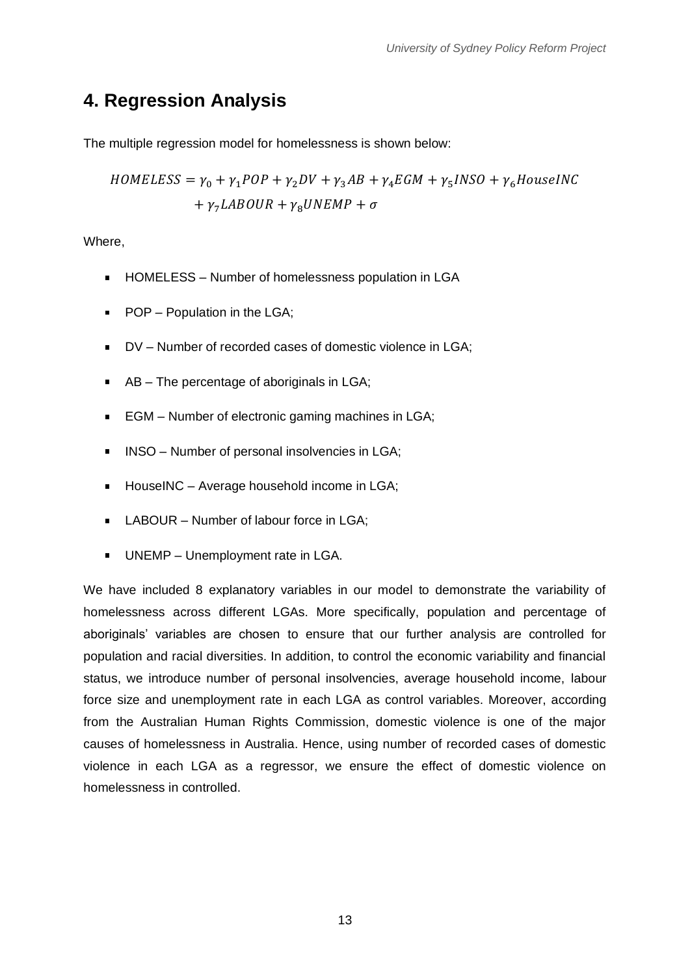## <span id="page-14-0"></span>**4. Regression Analysis**

The multiple regression model for homelessness is shown below:

$$
HOMELESS = \gamma_0 + \gamma_1 POP + \gamma_2 DV + \gamma_3 AB + \gamma_4 EGM + \gamma_5 INSO + \gamma_6 HouseINC
$$
  
+  $\gamma_7 LABOUR + \gamma_8 UNEMP + \sigma$ 

Where,

- HOMELESS Number of homelessness population in LGA
- **POP** Population in the LGA;
- DV Number of recorded cases of domestic violence in LGA;  $\mathbf{r}$
- AB The percentage of aboriginals in LGA;
- EGM Number of electronic gaming machines in LGA;
- INSO Number of personal insolvencies in LGA;  $\blacksquare$
- **HouseINC** Average household income in LGA;
- **LABOUR** Number of labour force in LGA;
- UNEMP Unemployment rate in LGA.  $\blacksquare$

We have included 8 explanatory variables in our model to demonstrate the variability of homelessness across different LGAs. More specifically, population and percentage of aboriginals' variables are chosen to ensure that our further analysis are controlled for population and racial diversities. In addition, to control the economic variability and financial status, we introduce number of personal insolvencies, average household income, labour force size and unemployment rate in each LGA as control variables. Moreover, according from the Australian Human Rights Commission, domestic violence is one of the major causes of homelessness in Australia. Hence, using number of recorded cases of domestic violence in each LGA as a regressor, we ensure the effect of domestic violence on homelessness in controlled.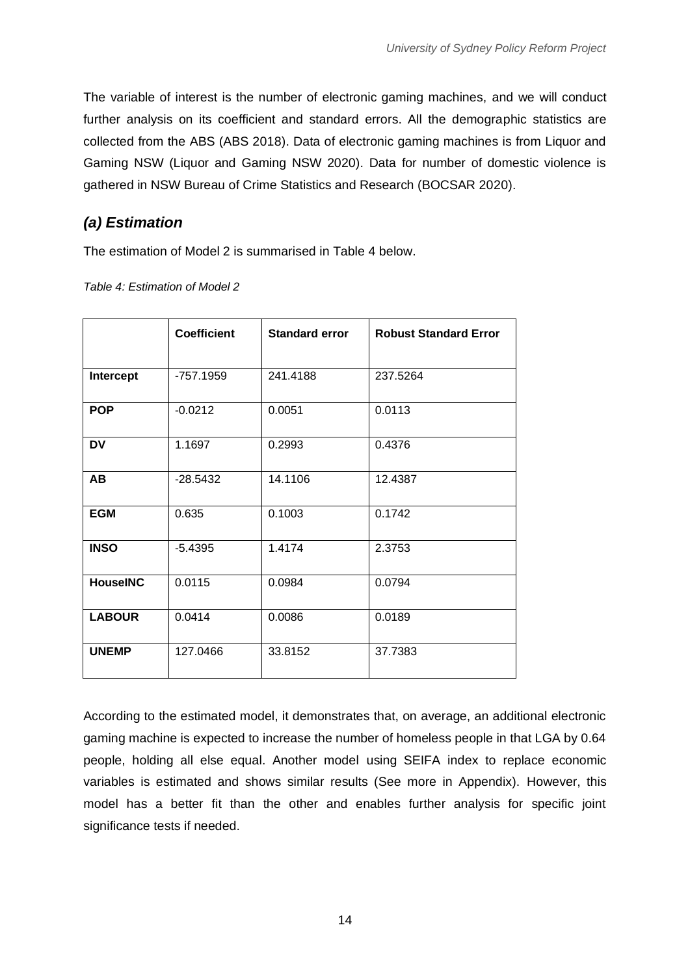The variable of interest is the number of electronic gaming machines, and we will conduct further analysis on its coefficient and standard errors. All the demographic statistics are collected from the ABS (ABS 2018). Data of electronic gaming machines is from Liquor and Gaming NSW (Liquor and Gaming NSW 2020). Data for number of domestic violence is gathered in NSW Bureau of Crime Statistics and Research (BOCSAR 2020).

### *(a) Estimation*

The estimation of Model 2 is summarised in Table 4 below.

*Table 4: Estimation of Model 2*

|                 | <b>Coefficient</b> | <b>Standard error</b> | <b>Robust Standard Error</b> |
|-----------------|--------------------|-----------------------|------------------------------|
| Intercept       | -757.1959          | 241.4188              | 237.5264                     |
| <b>POP</b>      | $-0.0212$          | 0.0051                | 0.0113                       |
| <b>DV</b>       | 1.1697             | 0.2993                | 0.4376                       |
| <b>AB</b>       | $-28.5432$         | 14.1106               | 12.4387                      |
| <b>EGM</b>      | 0.635              | 0.1003                | 0.1742                       |
| <b>INSO</b>     | $-5.4395$          | 1.4174                | 2.3753                       |
| <b>HouseINC</b> | 0.0115             | 0.0984                | 0.0794                       |
| <b>LABOUR</b>   | 0.0414             | 0.0086                | 0.0189                       |
| <b>UNEMP</b>    | 127.0466           | 33.8152               | 37.7383                      |

According to the estimated model, it demonstrates that, on average, an additional electronic gaming machine is expected to increase the number of homeless people in that LGA by 0.64 people, holding all else equal. Another model using SEIFA index to replace economic variables is estimated and shows similar results (See more in Appendix). However, this model has a better fit than the other and enables further analysis for specific joint significance tests if needed.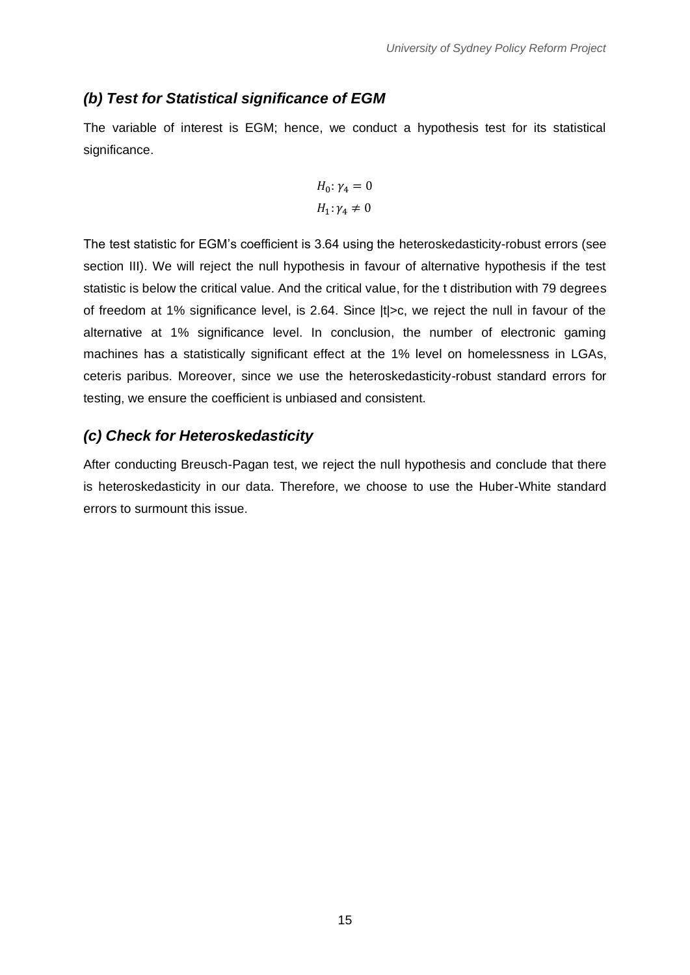#### *(b) Test for Statistical significance of EGM*

The variable of interest is EGM; hence, we conduct a hypothesis test for its statistical significance.

$$
H_0: \gamma_4 = 0
$$
  

$$
H_1: \gamma_4 \neq 0
$$

The test statistic for EGM's coefficient is 3.64 using the heteroskedasticity-robust errors (see section III). We will reject the null hypothesis in favour of alternative hypothesis if the test statistic is below the critical value. And the critical value, for the t distribution with 79 degrees of freedom at 1% significance level, is 2.64. Since |t|>c, we reject the null in favour of the alternative at 1% significance level. In conclusion, the number of electronic gaming machines has a statistically significant effect at the 1% level on homelessness in LGAs, ceteris paribus. Moreover, since we use the heteroskedasticity-robust standard errors for testing, we ensure the coefficient is unbiased and consistent.

#### *(c) Check for Heteroskedasticity*

After conducting Breusch-Pagan test, we reject the null hypothesis and conclude that there is heteroskedasticity in our data. Therefore, we choose to use the Huber-White standard errors to surmount this issue.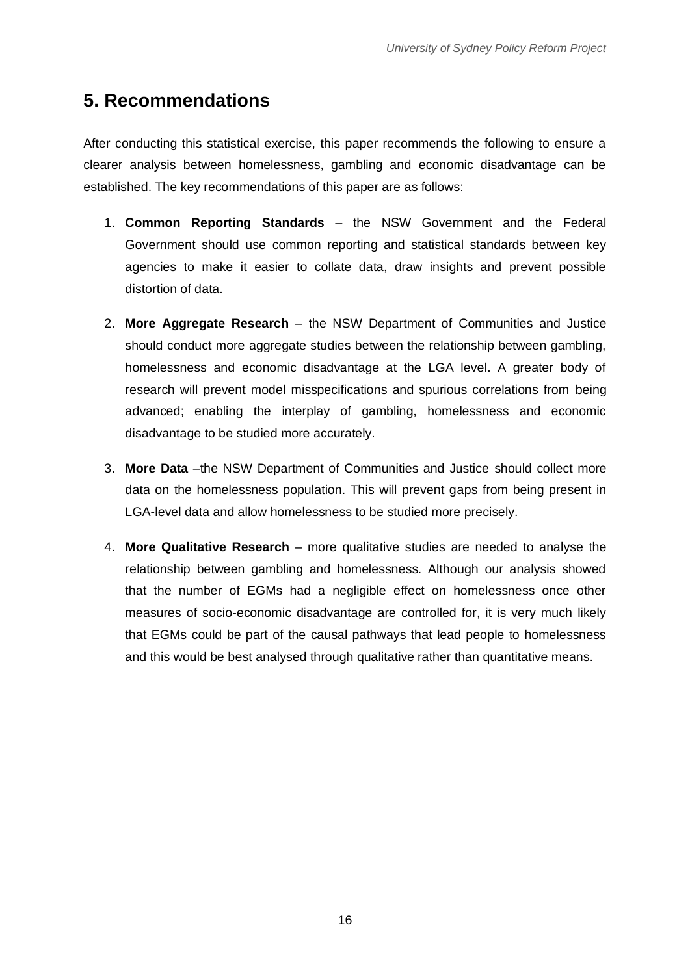# <span id="page-17-0"></span>**5. Recommendations**

After conducting this statistical exercise, this paper recommends the following to ensure a clearer analysis between homelessness, gambling and economic disadvantage can be established. The key recommendations of this paper are as follows:

- 1. **Common Reporting Standards** the NSW Government and the Federal Government should use common reporting and statistical standards between key agencies to make it easier to collate data, draw insights and prevent possible distortion of data.
- 2. **More Aggregate Research** the NSW Department of Communities and Justice should conduct more aggregate studies between the relationship between gambling, homelessness and economic disadvantage at the LGA level. A greater body of research will prevent model misspecifications and spurious correlations from being advanced; enabling the interplay of gambling, homelessness and economic disadvantage to be studied more accurately.
- 3. **More Data** –the NSW Department of Communities and Justice should collect more data on the homelessness population. This will prevent gaps from being present in LGA-level data and allow homelessness to be studied more precisely.
- 4. **More Qualitative Research** more qualitative studies are needed to analyse the relationship between gambling and homelessness. Although our analysis showed that the number of EGMs had a negligible effect on homelessness once other measures of socio-economic disadvantage are controlled for, it is very much likely that EGMs could be part of the causal pathways that lead people to homelessness and this would be best analysed through qualitative rather than quantitative means.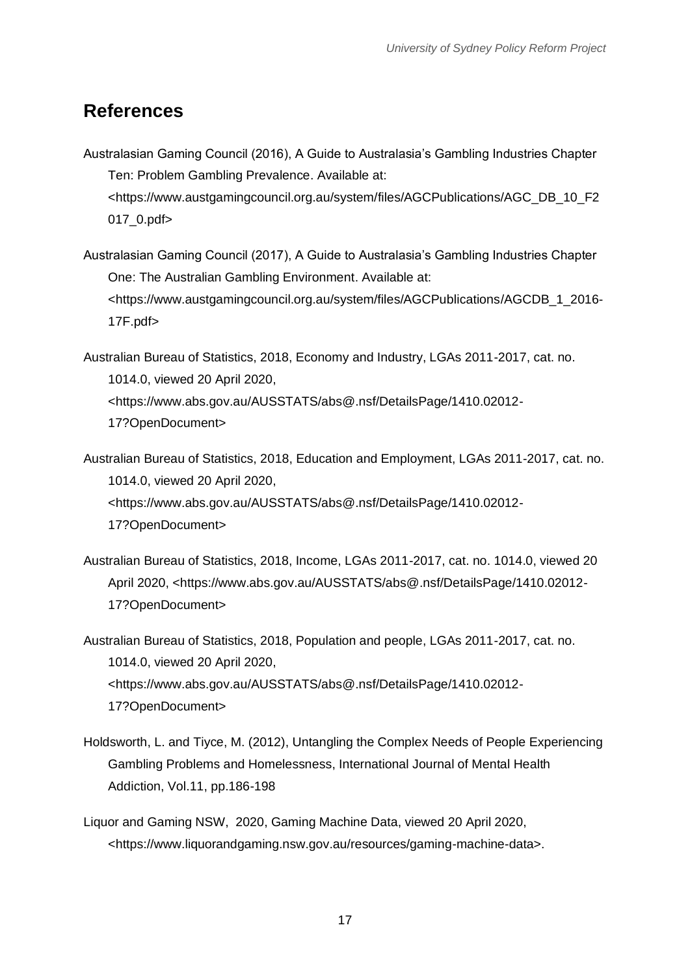## <span id="page-18-0"></span>**References**

- Australasian Gaming Council (2016), A Guide to Australasia's Gambling Industries Chapter Ten: Problem Gambling Prevalence. Available at: <https://www.austgamingcouncil.org.au/system/files/AGCPublications/AGC\_DB\_10\_F2 017\_0.pdf>
- Australasian Gaming Council (2017), A Guide to Australasia's Gambling Industries Chapter One: The Australian Gambling Environment. Available at: <https://www.austgamingcouncil.org.au/system/files/AGCPublications/AGCDB\_1\_2016- 17F.pdf>

Australian Bureau of Statistics, 2018, Economy and Industry, LGAs 2011-2017, cat. no. 1014.0, viewed 20 April 2020, <https://www.abs.gov.au/AUSSTATS/abs@.nsf/DetailsPage/1410.02012- 17?OpenDocument>

- Australian Bureau of Statistics, 2018, Education and Employment, LGAs 2011-2017, cat. no. 1014.0, viewed 20 April 2020, <https://www.abs.gov.au/AUSSTATS/abs@.nsf/DetailsPage/1410.02012- 17?OpenDocument>
- Australian Bureau of Statistics, 2018, Income, LGAs 2011-2017, cat. no. 1014.0, viewed 20 April 2020, <https://www.abs.gov.au/AUSSTATS/abs@.nsf/DetailsPage/1410.02012- 17?OpenDocument>

Australian Bureau of Statistics, 2018, Population and people, LGAs 2011-2017, cat. no. 1014.0, viewed 20 April 2020, <https://www.abs.gov.au/AUSSTATS/abs@.nsf/DetailsPage/1410.02012- 17?OpenDocument>

- Holdsworth, L. and Tiyce, M. (2012), Untangling the Complex Needs of People Experiencing Gambling Problems and Homelessness, International Journal of Mental Health Addiction, Vol.11, pp.186-198
- Liquor and Gaming NSW, 2020, Gaming Machine Data, viewed 20 April 2020, <https://www.liquorandgaming.nsw.gov.au/resources/gaming-machine-data>.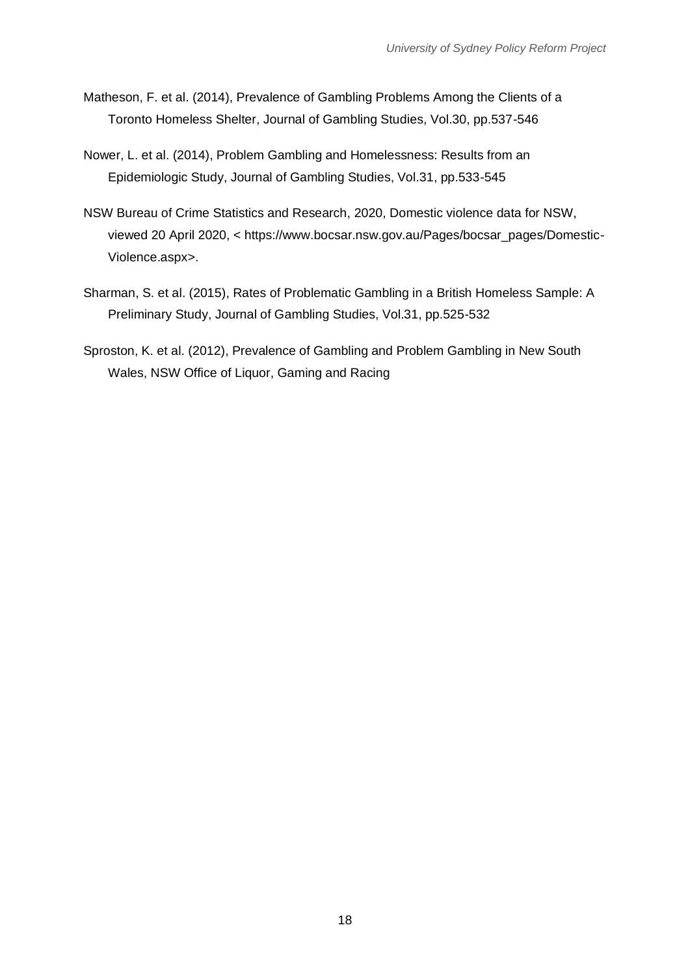- Matheson, F. et al. (2014), Prevalence of Gambling Problems Among the Clients of a Toronto Homeless Shelter, Journal of Gambling Studies, Vol.30, pp.537-546
- Nower, L. et al. (2014), Problem Gambling and Homelessness: Results from an Epidemiologic Study, Journal of Gambling Studies, Vol.31, pp.533-545
- NSW Bureau of Crime Statistics and Research, 2020, Domestic violence data for NSW, viewed 20 April 2020, < https://www.bocsar.nsw.gov.au/Pages/bocsar\_pages/Domestic-Violence.aspx>.
- Sharman, S. et al. (2015), Rates of Problematic Gambling in a British Homeless Sample: A Preliminary Study, Journal of Gambling Studies, Vol.31, pp.525-532
- Sproston, K. et al. (2012), Prevalence of Gambling and Problem Gambling in New South Wales, NSW Office of Liquor, Gaming and Racing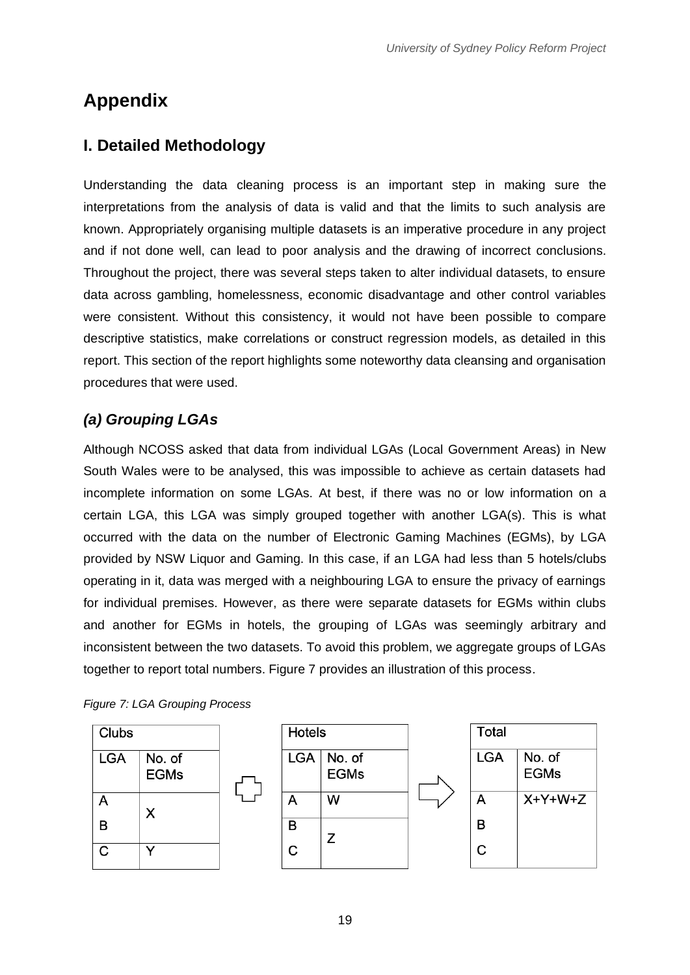# <span id="page-20-0"></span>**Appendix**

## <span id="page-20-1"></span>**I. Detailed Methodology**

Understanding the data cleaning process is an important step in making sure the interpretations from the analysis of data is valid and that the limits to such analysis are known. Appropriately organising multiple datasets is an imperative procedure in any project and if not done well, can lead to poor analysis and the drawing of incorrect conclusions. Throughout the project, there was several steps taken to alter individual datasets, to ensure data across gambling, homelessness, economic disadvantage and other control variables were consistent. Without this consistency, it would not have been possible to compare descriptive statistics, make correlations or construct regression models, as detailed in this report. This section of the report highlights some noteworthy data cleansing and organisation procedures that were used.

## *(a) Grouping LGAs*

Although NCOSS asked that data from individual LGAs (Local Government Areas) in New South Wales were to be analysed, this was impossible to achieve as certain datasets had incomplete information on some LGAs. At best, if there was no or low information on a certain LGA, this LGA was simply grouped together with another LGA(s). This is what occurred with the data on the number of Electronic Gaming Machines (EGMs), by LGA provided by NSW Liquor and Gaming. In this case, if an LGA had less than 5 hotels/clubs operating in it, data was merged with a neighbouring LGA to ensure the privacy of earnings for individual premises. However, as there were separate datasets for EGMs within clubs and another for EGMs in hotels, the grouping of LGAs was seemingly arbitrary and inconsistent between the two datasets. To avoid this problem, we aggregate groups of LGAs together to report total numbers. Figure 7 provides an illustration of this process.

#### *Figure 7: LGA Grouping Process*

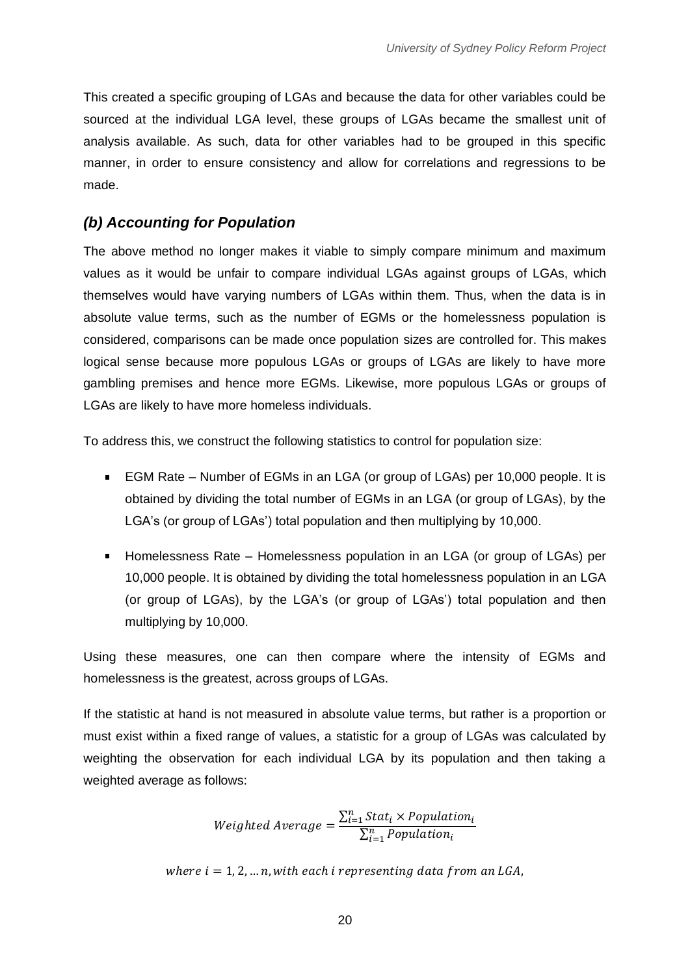This created a specific grouping of LGAs and because the data for other variables could be sourced at the individual LGA level, these groups of LGAs became the smallest unit of analysis available. As such, data for other variables had to be grouped in this specific manner, in order to ensure consistency and allow for correlations and regressions to be made.

#### *(b) Accounting for Population*

The above method no longer makes it viable to simply compare minimum and maximum values as it would be unfair to compare individual LGAs against groups of LGAs, which themselves would have varying numbers of LGAs within them. Thus, when the data is in absolute value terms, such as the number of EGMs or the homelessness population is considered, comparisons can be made once population sizes are controlled for. This makes logical sense because more populous LGAs or groups of LGAs are likely to have more gambling premises and hence more EGMs. Likewise, more populous LGAs or groups of LGAs are likely to have more homeless individuals.

To address this, we construct the following statistics to control for population size:

- EGM Rate Number of EGMs in an LGA (or group of LGAs) per 10,000 people. It is  $\mathbf{r}$ obtained by dividing the total number of EGMs in an LGA (or group of LGAs), by the LGA's (or group of LGAs') total population and then multiplying by 10,000.
- $\mathbf{r}$ Homelessness Rate – Homelessness population in an LGA (or group of LGAs) per 10,000 people. It is obtained by dividing the total homelessness population in an LGA (or group of LGAs), by the LGA's (or group of LGAs') total population and then multiplying by 10,000.

Using these measures, one can then compare where the intensity of EGMs and homelessness is the greatest, across groups of LGAs.

If the statistic at hand is not measured in absolute value terms, but rather is a proportion or must exist within a fixed range of values, a statistic for a group of LGAs was calculated by weighting the observation for each individual LGA by its population and then taking a weighted average as follows:

> *Weighted Average* =  $\frac{\sum_{i=1}^{n} Stat_{i} \times Population_{i}}{\sum_{i=1}^{n}Quantize_{i}}$  $\overline{\Sigma_{i=1}^{n}$  Population $_i$

where  $i = 1, 2, ..., n$ , with each i representing data from an LGA.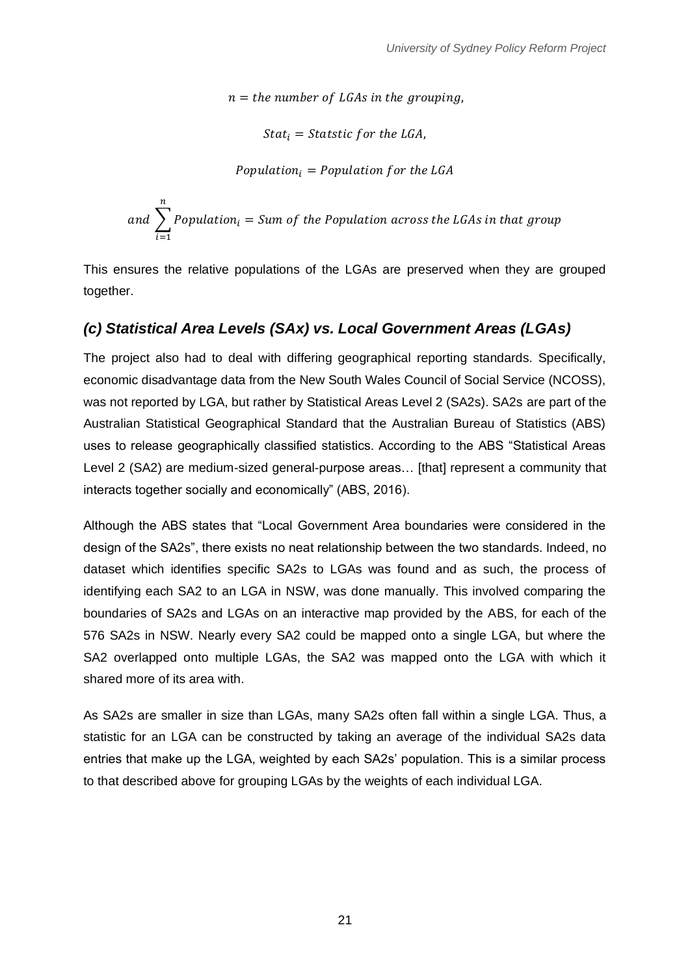$n =$  the number of LGAs in the grouping.

 $Stat_i = Statistic for the LGA,$ 

Population<sub>i</sub> =  $Population$  for the LGA

and 
$$
\sum_{i=1}^{n} Population_i = Sum \ of \ the \ Population \ across \ the \ LGAs \ in \ that \ group
$$

This ensures the relative populations of the LGAs are preserved when they are grouped together.

### *(c) Statistical Area Levels (SAx) vs. Local Government Areas (LGAs)*

The project also had to deal with differing geographical reporting standards. Specifically, economic disadvantage data from the New South Wales Council of Social Service (NCOSS), was not reported by LGA, but rather by Statistical Areas Level 2 (SA2s). SA2s are part of the Australian Statistical Geographical Standard that the Australian Bureau of Statistics (ABS) uses to release geographically classified statistics. According to the ABS "Statistical Areas Level 2 (SA2) are medium-sized general-purpose areas… [that] represent a community that interacts together socially and economically" (ABS, 2016).

Although the ABS states that "Local Government Area boundaries were considered in the design of the SA2s", there exists no neat relationship between the two standards. Indeed, no dataset which identifies specific SA2s to LGAs was found and as such, the process of identifying each SA2 to an LGA in NSW, was done manually. This involved comparing the boundaries of SA2s and LGAs on an interactive map provided by the ABS, for each of the 576 SA2s in NSW. Nearly every SA2 could be mapped onto a single LGA, but where the SA2 overlapped onto multiple LGAs, the SA2 was mapped onto the LGA with which it shared more of its area with.

As SA2s are smaller in size than LGAs, many SA2s often fall within a single LGA. Thus, a statistic for an LGA can be constructed by taking an average of the individual SA2s data entries that make up the LGA, weighted by each SA2s' population. This is a similar process to that described above for grouping LGAs by the weights of each individual LGA.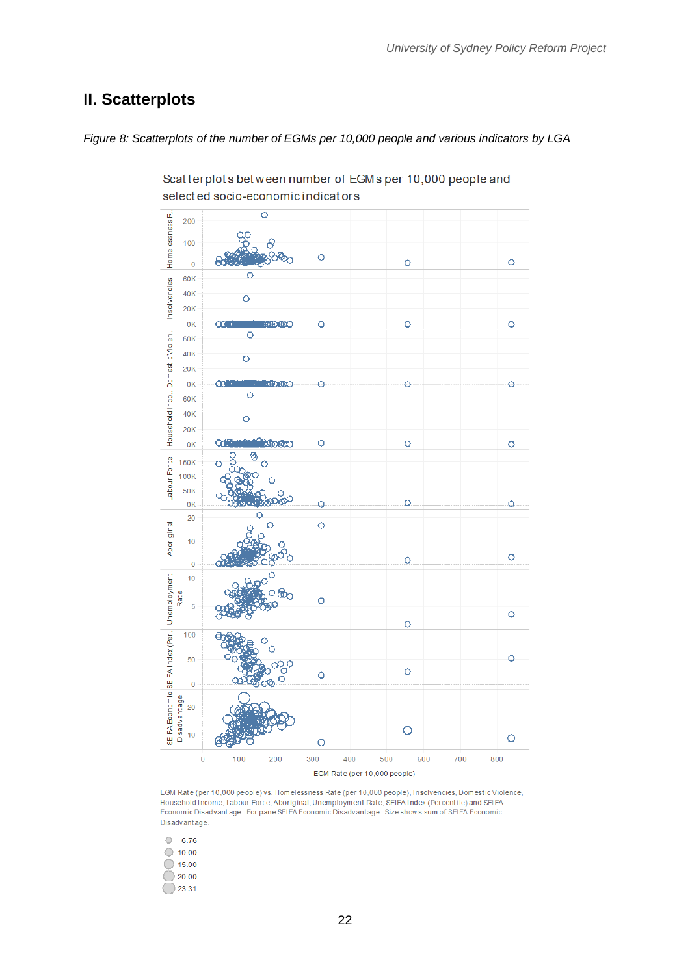## <span id="page-23-0"></span>**II. Scatterplots**

*Figure 8: Scatterplots of the number of EGMs per 10,000 people and various indicators by LGA*



Scatterplots between number of EGMs per 10,000 people and selected socio-economic indicators

EGM Rate (per 10,000 people) vs. Homelessness Rate (per 10,000 people), Insolvencies, Domestic Violence, Household Income, Labour Force, Aboriginal, Unemployment Rate, SEIFA Index (Percentile) and SEIFA Economic Disadvantage. For pane SEIFA Economic Disadvantage: Size shows sum of SEIFA Economic Disadvantage.

| 6.76  |
|-------|
| 10.00 |
| 15.00 |
| 20.00 |
| 23.31 |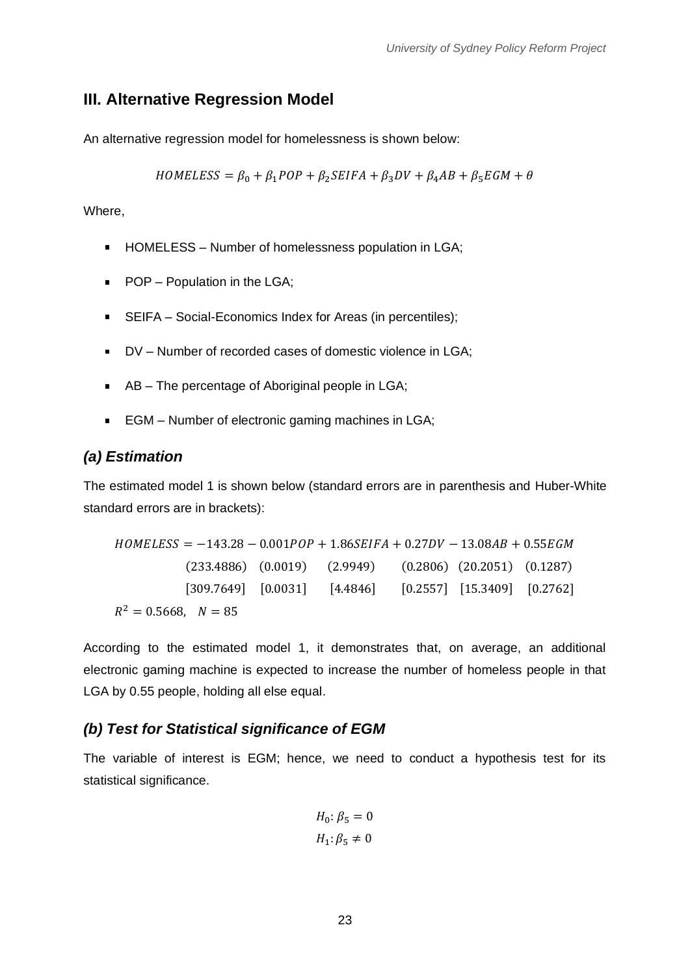### <span id="page-24-0"></span>**III. Alternative Regression Model**

An alternative regression model for homelessness is shown below:

$$
HOMELESS = \beta_0 + \beta_1 POP + \beta_2 SEIFA + \beta_3 DV + \beta_4 AB + \beta_5 EGM + \theta
$$

Where,

- HOMELESS Number of homelessness population in LGA;
- **POP** Population in the LGA;
- SEIFA Social-Economics Index for Areas (in percentiles);
- DV Number of recorded cases of domestic violence in LGA;
- AB The percentage of Aboriginal people in LGA;
- EGM Number of electronic gaming machines in LGA;  $\mathbf{r}$

#### *(a) Estimation*

The estimated model 1 is shown below (standard errors are in parenthesis and Huber-White standard errors are in brackets):

 $HOMELESS = -143.28 - 0.001POP + 1.86SEIFA + 0.27DV - 13.08AB + 0.55EGM$ (233.4886) (0.0019) (2.9949) (0.2806) (20.2051) (0.1287) [309.7649] [0.0031] [4.4846] [0.2557] [15.3409] [0.2762]  $R^2 = 0.5668$ ,  $N = 85$ 

According to the estimated model 1, it demonstrates that, on average, an additional electronic gaming machine is expected to increase the number of homeless people in that LGA by 0.55 people, holding all else equal.

#### *(b) Test for Statistical significance of EGM*

The variable of interest is EGM; hence, we need to conduct a hypothesis test for its statistical significance.

$$
H_0: \beta_5 = 0
$$
  

$$
H_1: \beta_5 \neq 0
$$